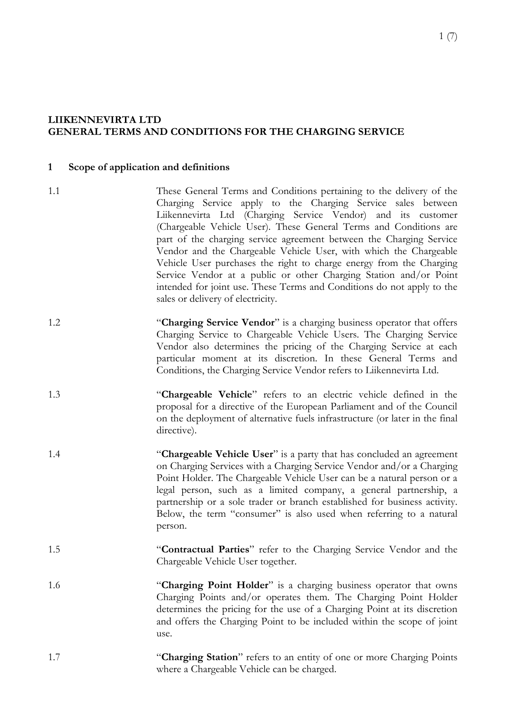### **LIIKENNEVIRTA LTD GENERAL TERMS AND CONDITIONS FOR THE CHARGING SERVICE**

#### **1 Scope of application and definitions**

- 1.1 These General Terms and Conditions pertaining to the delivery of the Charging Service apply to the Charging Service sales between Liikennevirta Ltd (Charging Service Vendor) and its customer (Chargeable Vehicle User). These General Terms and Conditions are part of the charging service agreement between the Charging Service Vendor and the Chargeable Vehicle User, with which the Chargeable Vehicle User purchases the right to charge energy from the Charging Service Vendor at a public or other Charging Station and/or Point intended for joint use. These Terms and Conditions do not apply to the sales or delivery of electricity.
- 1.2 "**Charging Service Vendor**" is a charging business operator that offers Charging Service to Chargeable Vehicle Users. The Charging Service Vendor also determines the pricing of the Charging Service at each particular moment at its discretion. In these General Terms and Conditions, the Charging Service Vendor refers to Liikennevirta Ltd.
- 1.3 "**Chargeable Vehicle**" refers to an electric vehicle defined in the proposal for a directive of the European Parliament and of the Council on the deployment of alternative fuels infrastructure (or later in the final directive).
- 1.4 "**Chargeable Vehicle User**" is a party that has concluded an agreement on Charging Services with a Charging Service Vendor and/or a Charging Point Holder. The Chargeable Vehicle User can be a natural person or a legal person, such as a limited company, a general partnership, a partnership or a sole trader or branch established for business activity. Below, the term "consumer" is also used when referring to a natural person.
- 1.5 "**Contractual Parties**" refer to the Charging Service Vendor and the Chargeable Vehicle User together.
- 1.6 "**Charging Point Holder**" is a charging business operator that owns Charging Points and/or operates them. The Charging Point Holder determines the pricing for the use of a Charging Point at its discretion and offers the Charging Point to be included within the scope of joint use.
- 1.7 "**Charging Station**" refers to an entity of one or more Charging Points where a Chargeable Vehicle can be charged.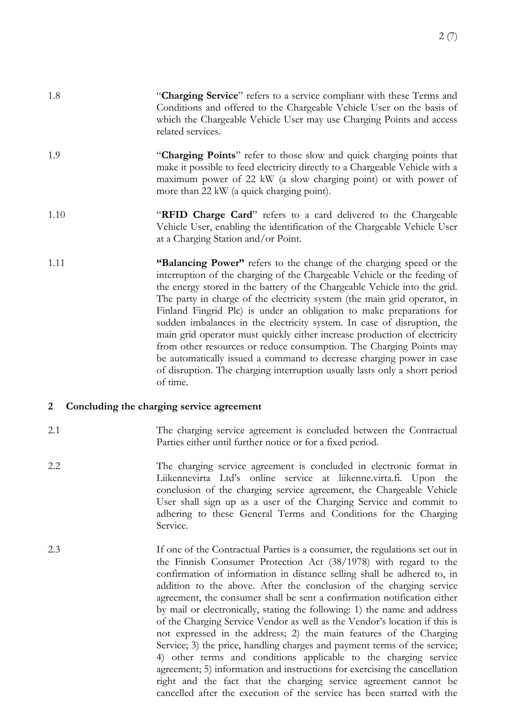- 1.8 "**Charging Service**" refers to a service compliant with these Terms and Conditions and offered to the Chargeable Vehicle User on the basis of which the Chargeable Vehicle User may use Charging Points and access related services.
- 1.9 "**Charging Points**" refer to those slow and quick charging points that make it possible to feed electricity directly to a Chargeable Vehicle with a maximum power of 22 kW (a slow charging point) or with power of more than 22 kW (a quick charging point).
- 1.10 "**RFID Charge Card**" refers to a card delivered to the Chargeable Vehicle User, enabling the identification of the Chargeable Vehicle User at a Charging Station and/or Point.
- 1.11 **"Balancing Power"** refers to the change of the charging speed or the interruption of the charging of the Chargeable Vehicle or the feeding of the energy stored in the battery of the Chargeable Vehicle into the grid. The party in charge of the electricity system (the main grid operator, in Finland Fingrid Plc) is under an obligation to make preparations for sudden imbalances in the electricity system. In case of disruption, the main grid operator must quickly either increase production of electricity from other resources or reduce consumption. The Charging Points may be automatically issued a command to decrease charging power in case of disruption. The charging interruption usually lasts only a short period of time.

## **2 Concluding the charging service agreement**

- 2.1 The charging service agreement is concluded between the Contractual Parties either until further notice or for a fixed period.
- 2.2 The charging service agreement is concluded in electronic format in Liikennevirta Ltd's online service at liikenne.virta.fi. Upon the conclusion of the charging service agreement, the Chargeable Vehicle User shall sign up as a user of the Charging Service and commit to adhering to these General Terms and Conditions for the Charging Service.
- 2.3 If one of the Contractual Parties is a consumer, the regulations set out in the Finnish Consumer Protection Act (38/1978) with regard to the confirmation of information in distance selling shall be adhered to, in addition to the above. After the conclusion of the charging service agreement, the consumer shall be sent a confirmation notification either by mail or electronically, stating the following: 1) the name and address of the Charging Service Vendor as well as the Vendor's location if this is not expressed in the address; 2) the main features of the Charging Service; 3) the price, handling charges and payment terms of the service; 4) other terms and conditions applicable to the charging service agreement; 5) information and instructions for exercising the cancellation right and the fact that the charging service agreement cannot be cancelled after the execution of the service has been started with the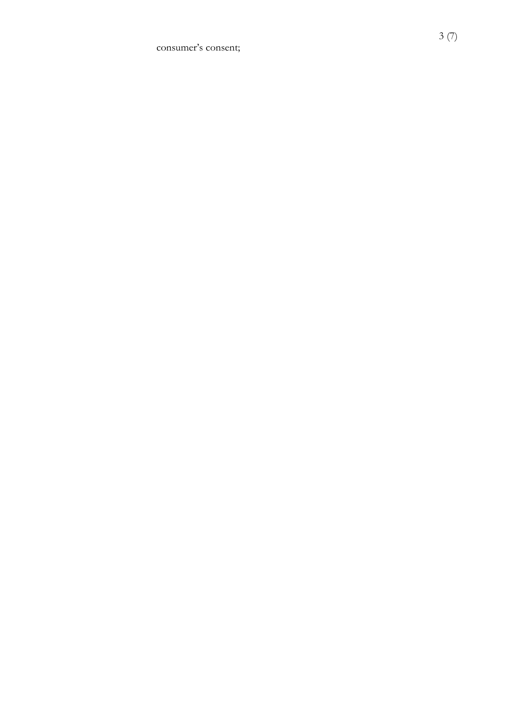consumer's consent;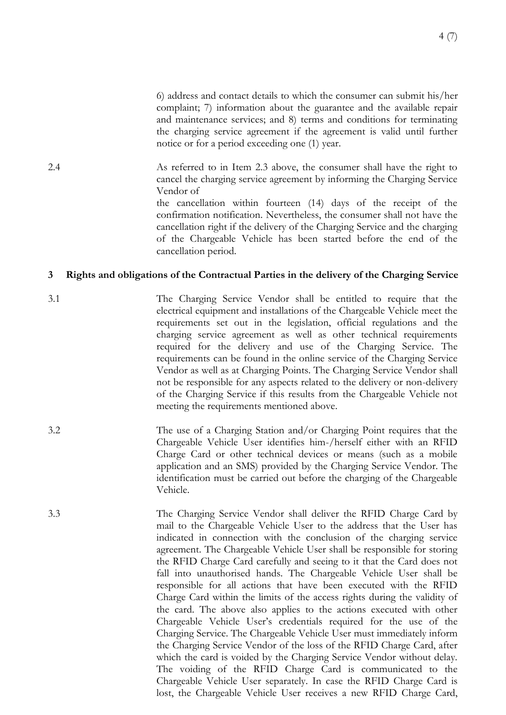6) address and contact details to which the consumer can submit his/her complaint; 7) information about the guarantee and the available repair and maintenance services; and 8) terms and conditions for terminating the charging service agreement if the agreement is valid until further notice or for a period exceeding one (1) year.

2.4 As referred to in Item 2.3 above, the consumer shall have the right to cancel the charging service agreement by informing the Charging Service Vendor of

> the cancellation within fourteen (14) days of the receipt of the confirmation notification. Nevertheless, the consumer shall not have the cancellation right if the delivery of the Charging Service and the charging of the Chargeable Vehicle has been started before the end of the cancellation period.

#### **3 Rights and obligations of the Contractual Parties in the delivery of the Charging Service**

- 3.1 The Charging Service Vendor shall be entitled to require that the electrical equipment and installations of the Chargeable Vehicle meet the requirements set out in the legislation, official regulations and the charging service agreement as well as other technical requirements required for the delivery and use of the Charging Service. The requirements can be found in the online service of the Charging Service Vendor as well as at Charging Points. The Charging Service Vendor shall not be responsible for any aspects related to the delivery or non-delivery of the Charging Service if this results from the Chargeable Vehicle not meeting the requirements mentioned above.
- 3.2 The use of a Charging Station and/or Charging Point requires that the Chargeable Vehicle User identifies him-/herself either with an RFID Charge Card or other technical devices or means (such as a mobile application and an SMS) provided by the Charging Service Vendor. The identification must be carried out before the charging of the Chargeable Vehicle.
- 3.3 The Charging Service Vendor shall deliver the RFID Charge Card by mail to the Chargeable Vehicle User to the address that the User has indicated in connection with the conclusion of the charging service agreement. The Chargeable Vehicle User shall be responsible for storing the RFID Charge Card carefully and seeing to it that the Card does not fall into unauthorised hands. The Chargeable Vehicle User shall be responsible for all actions that have been executed with the RFID Charge Card within the limits of the access rights during the validity of the card. The above also applies to the actions executed with other Chargeable Vehicle User's credentials required for the use of the Charging Service. The Chargeable Vehicle User must immediately inform the Charging Service Vendor of the loss of the RFID Charge Card, after which the card is voided by the Charging Service Vendor without delay. The voiding of the RFID Charge Card is communicated to the Chargeable Vehicle User separately. In case the RFID Charge Card is lost, the Chargeable Vehicle User receives a new RFID Charge Card,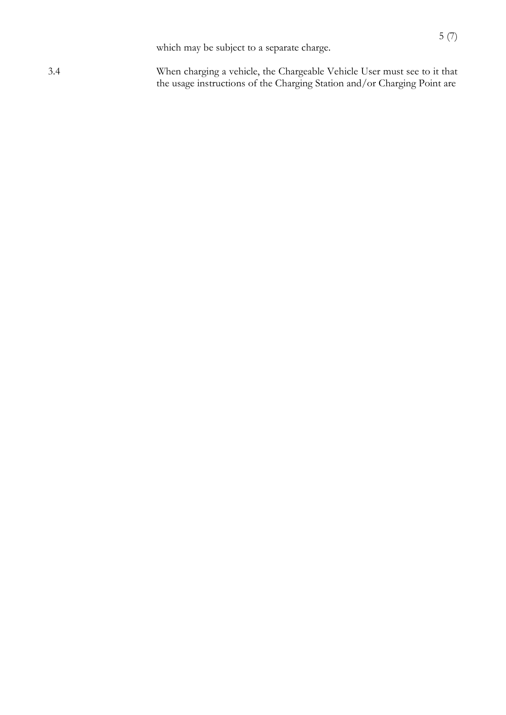which may be subject to a separate charge.

3.4 When charging a vehicle, the Chargeable Vehicle User must see to it that the usage instructions of the Charging Station and/or Charging Point are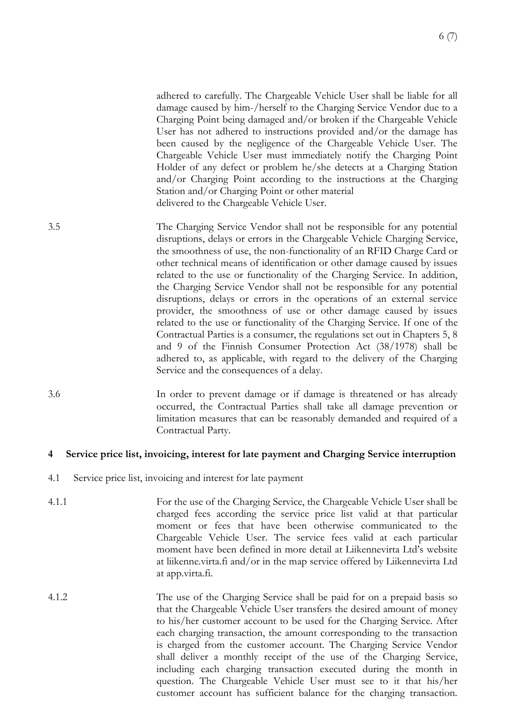adhered to carefully. The Chargeable Vehicle User shall be liable for all damage caused by him-/herself to the Charging Service Vendor due to a Charging Point being damaged and/or broken if the Chargeable Vehicle User has not adhered to instructions provided and/or the damage has been caused by the negligence of the Chargeable Vehicle User. The Chargeable Vehicle User must immediately notify the Charging Point Holder of any defect or problem he/she detects at a Charging Station and/or Charging Point according to the instructions at the Charging Station and/or Charging Point or other material delivered to the Chargeable Vehicle User.

3.5 The Charging Service Vendor shall not be responsible for any potential disruptions, delays or errors in the Chargeable Vehicle Charging Service, the smoothness of use, the non-functionality of an RFID Charge Card or other technical means of identification or other damage caused by issues related to the use or functionality of the Charging Service. In addition, the Charging Service Vendor shall not be responsible for any potential disruptions, delays or errors in the operations of an external service provider, the smoothness of use or other damage caused by issues related to the use or functionality of the Charging Service. If one of the Contractual Parties is a consumer, the regulations set out in Chapters 5, 8 and 9 of the Finnish Consumer Protection Act (38/1978) shall be adhered to, as applicable, with regard to the delivery of the Charging Service and the consequences of a delay.

3.6 In order to prevent damage or if damage is threatened or has already occurred, the Contractual Parties shall take all damage prevention or limitation measures that can be reasonably demanded and required of a Contractual Party.

## **4 Service price list, invoicing, interest for late payment and Charging Service interruption**

- 4.1 Service price list, invoicing and interest for late payment
- 4.1.1 For the use of the Charging Service, the Chargeable Vehicle User shall be charged fees according the service price list valid at that particular moment or fees that have been otherwise communicated to the Chargeable Vehicle User. The service fees valid at each particular moment have been defined in more detail at Liikennevirta Ltd's website at liikenne.virta.fi and/or in the map service offered by Liikennevirta Ltd at app.virta.fi.
- 4.1.2 The use of the Charging Service shall be paid for on a prepaid basis so that the Chargeable Vehicle User transfers the desired amount of money to his/her customer account to be used for the Charging Service. After each charging transaction, the amount corresponding to the transaction is charged from the customer account. The Charging Service Vendor shall deliver a monthly receipt of the use of the Charging Service, including each charging transaction executed during the month in question. The Chargeable Vehicle User must see to it that his/her customer account has sufficient balance for the charging transaction.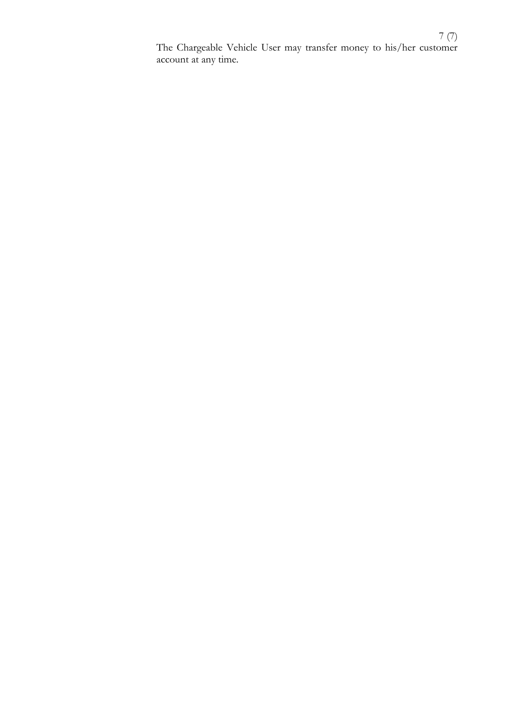7 (7) The Chargeable Vehicle User may transfer money to his/her customer account at any time.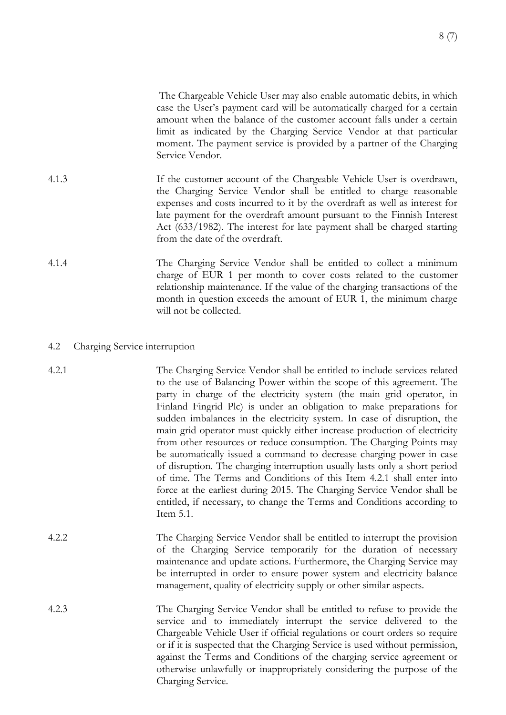The Chargeable Vehicle User may also enable automatic debits, in which case the User's payment card will be automatically charged for a certain amount when the balance of the customer account falls under a certain limit as indicated by the Charging Service Vendor at that particular moment. The payment service is provided by a partner of the Charging Service Vendor.

- 4.1.3 If the customer account of the Chargeable Vehicle User is overdrawn, the Charging Service Vendor shall be entitled to charge reasonable expenses and costs incurred to it by the overdraft as well as interest for late payment for the overdraft amount pursuant to the Finnish Interest Act (633/1982). The interest for late payment shall be charged starting from the date of the overdraft.
- 4.1.4 The Charging Service Vendor shall be entitled to collect a minimum charge of EUR 1 per month to cover costs related to the customer relationship maintenance. If the value of the charging transactions of the month in question exceeds the amount of EUR 1, the minimum charge will not be collected.
- 4.2 Charging Service interruption
- 4.2.1 The Charging Service Vendor shall be entitled to include services related to the use of Balancing Power within the scope of this agreement. The party in charge of the electricity system (the main grid operator, in Finland Fingrid Plc) is under an obligation to make preparations for sudden imbalances in the electricity system. In case of disruption, the main grid operator must quickly either increase production of electricity from other resources or reduce consumption. The Charging Points may be automatically issued a command to decrease charging power in case of disruption. The charging interruption usually lasts only a short period of time. The Terms and Conditions of this Item 4.2.1 shall enter into force at the earliest during 2015. The Charging Service Vendor shall be entitled, if necessary, to change the Terms and Conditions according to Item 5.1.
- 4.2.2 The Charging Service Vendor shall be entitled to interrupt the provision of the Charging Service temporarily for the duration of necessary maintenance and update actions. Furthermore, the Charging Service may be interrupted in order to ensure power system and electricity balance management, quality of electricity supply or other similar aspects.
- 4.2.3 The Charging Service Vendor shall be entitled to refuse to provide the service and to immediately interrupt the service delivered to the Chargeable Vehicle User if official regulations or court orders so require or if it is suspected that the Charging Service is used without permission, against the Terms and Conditions of the charging service agreement or otherwise unlawfully or inappropriately considering the purpose of the Charging Service.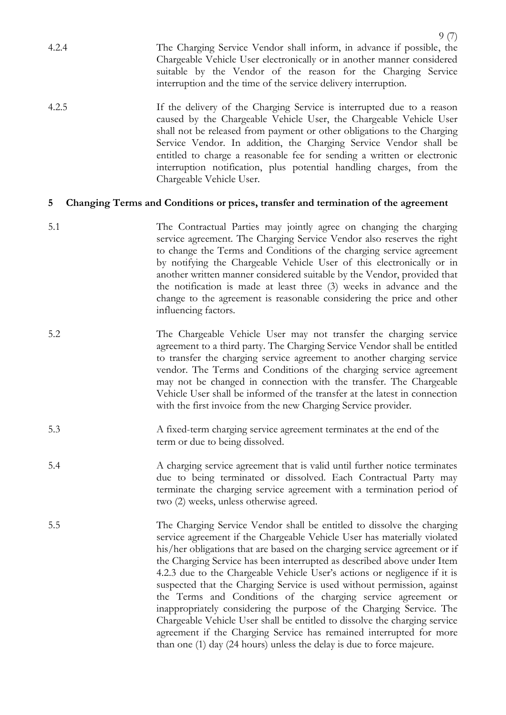- 9 (7) 4.2.4 The Charging Service Vendor shall inform, in advance if possible, the Chargeable Vehicle User electronically or in another manner considered suitable by the Vendor of the reason for the Charging Service interruption and the time of the service delivery interruption.
- 4.2.5 If the delivery of the Charging Service is interrupted due to a reason caused by the Chargeable Vehicle User, the Chargeable Vehicle User shall not be released from payment or other obligations to the Charging Service Vendor. In addition, the Charging Service Vendor shall be entitled to charge a reasonable fee for sending a written or electronic interruption notification, plus potential handling charges, from the Chargeable Vehicle User.

# **5 Changing Terms and Conditions or prices, transfer and termination of the agreement**

- 5.1 The Contractual Parties may jointly agree on changing the charging service agreement. The Charging Service Vendor also reserves the right to change the Terms and Conditions of the charging service agreement by notifying the Chargeable Vehicle User of this electronically or in another written manner considered suitable by the Vendor, provided that the notification is made at least three (3) weeks in advance and the change to the agreement is reasonable considering the price and other influencing factors.
- 5.2 The Chargeable Vehicle User may not transfer the charging service agreement to a third party. The Charging Service Vendor shall be entitled to transfer the charging service agreement to another charging service vendor. The Terms and Conditions of the charging service agreement may not be changed in connection with the transfer. The Chargeable Vehicle User shall be informed of the transfer at the latest in connection with the first invoice from the new Charging Service provider.
- 5.3 A fixed-term charging service agreement terminates at the end of the term or due to being dissolved.
- 5.4 A charging service agreement that is valid until further notice terminates due to being terminated or dissolved. Each Contractual Party may terminate the charging service agreement with a termination period of two (2) weeks, unless otherwise agreed.
- 5.5 The Charging Service Vendor shall be entitled to dissolve the charging service agreement if the Chargeable Vehicle User has materially violated his/her obligations that are based on the charging service agreement or if the Charging Service has been interrupted as described above under Item 4.2.3 due to the Chargeable Vehicle User's actions or negligence if it is suspected that the Charging Service is used without permission, against the Terms and Conditions of the charging service agreement or inappropriately considering the purpose of the Charging Service. The Chargeable Vehicle User shall be entitled to dissolve the charging service agreement if the Charging Service has remained interrupted for more than one (1) day (24 hours) unless the delay is due to force majeure.